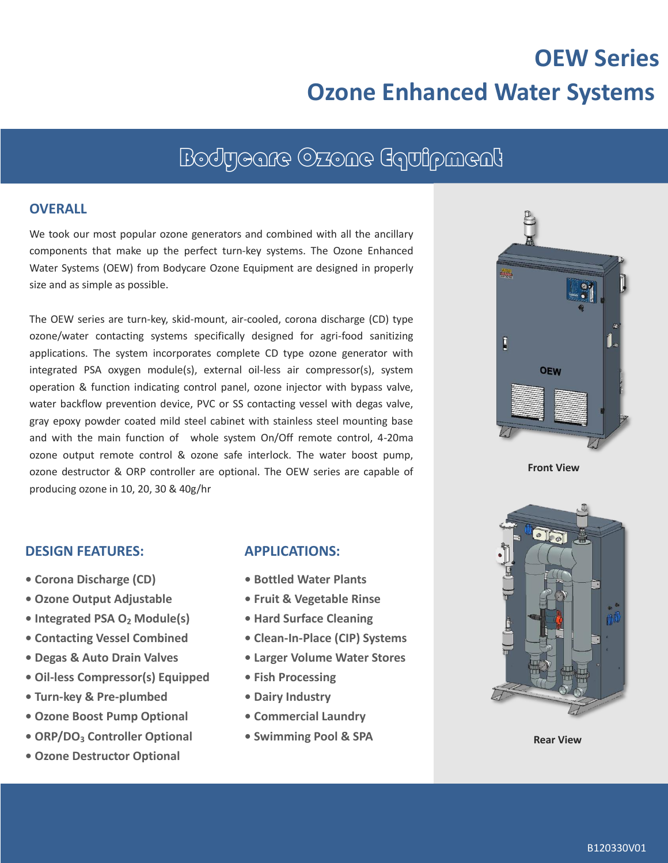# **OEW Series Ozone Enhanced Water Systems**

## Bodycare Ozone Equipment

#### **OVERALL**

We took our most popular ozone generators and combined with all the ancillary components that make up the perfect turn-key systems. The Ozone Enhanced Water Systems (OEW) from Bodycare Ozone Equipment are designed in properly size and as simple as possible.

The OEW series are turn-key, skid-mount, air-cooled, corona discharge (CD) type ozone/water contacting systems specifically designed for agri-food sanitizing applications. The system incorporates complete CD type ozone generator with integrated PSA oxygen module(s), external oil-less air compressor(s), system operation & function indicating control panel, ozone injector with bypass valve, water backflow prevention device, PVC or SS contacting vessel with degas valve, gray epoxy powder coated mild steel cabinet with stainless steel mounting base and with the main function of whole system On/Off remote control, 4-20ma ozone output remote control & ozone safe interlock. The water boost pump, ozone destructor & ORP controller are optional. The OEW series are capable of producing ozone in 10, 20, 30 & 40g/hr



**Front View**



- **Corona Discharge (CD)**
- **• Ozone Output Adjustable**
- **Integrated PSA O<sup>2</sup> Module(s)**
- **Contacting Vessel Combined**
- **Degas & Auto Drain Valves**
- **• Oil-less Compressor(s) Equipped**
- **• Turn-key & Pre-plumbed**
- **• Ozone Boost Pump Optional**
- **• ORP/DO<sup>3</sup> Controller Optional**
- **• Ozone Destructor Optional**

#### **APPLICATIONS:**

- **Bottled Water Plants**
- **Fruit & Vegetable Rinse**
- **Hard Surface Cleaning**
- **• Clean-In-Place (CIP) Systems**
- **• Larger Volume Water Stores**
- **• Fish Processing**
- **• Dairy Industry**
- **• Commercial Laundry**
- **• Swimming Pool & SPA**



**Rear View**